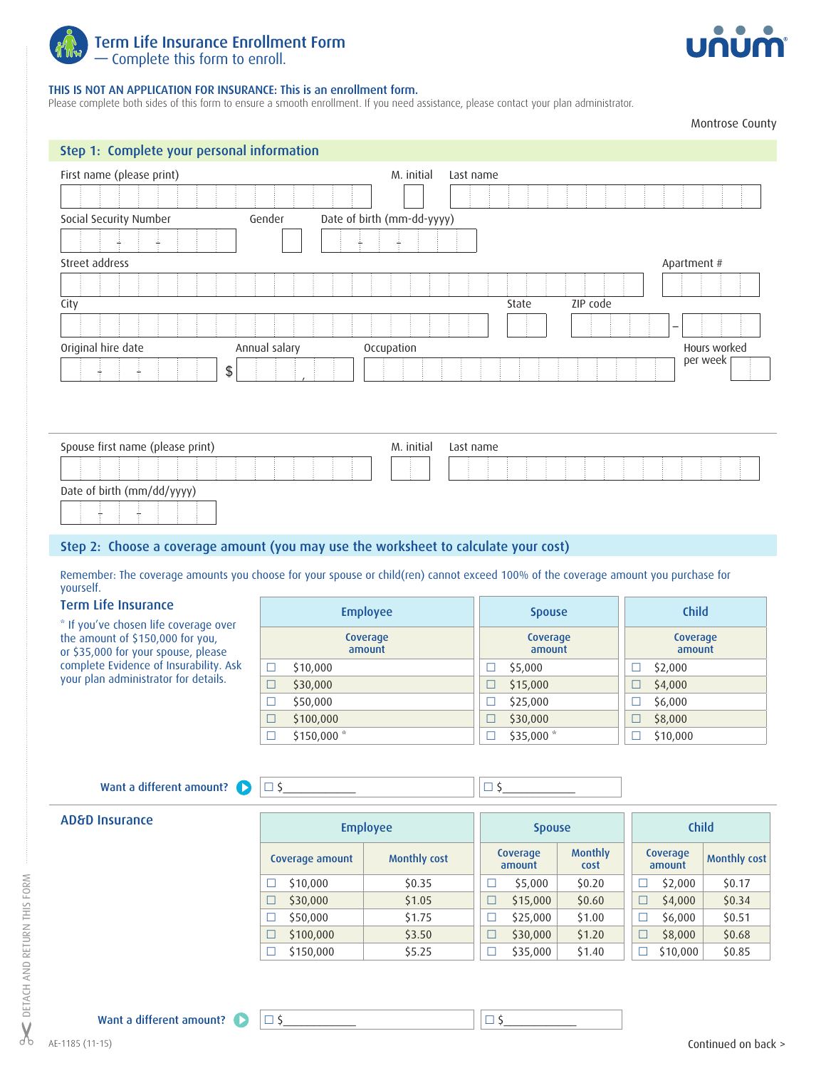



## THIS IS NOT AN APPLICATION FOR INSURANCE: This is an enrollment form.

Please complete both sides of this form to ensure a smooth enrollment. If you need assistance, please contact your plan administrator.

Montrose County

| Step 1: Complete your personal information                                                                                                                                                                                                                                                  |                                             |                            |                                          |                                          |                                         |                                    |  |
|---------------------------------------------------------------------------------------------------------------------------------------------------------------------------------------------------------------------------------------------------------------------------------------------|---------------------------------------------|----------------------------|------------------------------------------|------------------------------------------|-----------------------------------------|------------------------------------|--|
| First name (please print)                                                                                                                                                                                                                                                                   |                                             | M. initial<br>Last name    |                                          |                                          |                                         |                                    |  |
|                                                                                                                                                                                                                                                                                             |                                             |                            |                                          |                                          |                                         |                                    |  |
| Social Security Number                                                                                                                                                                                                                                                                      | Gender                                      | Date of birth (mm-dd-yyyy) |                                          |                                          |                                         |                                    |  |
|                                                                                                                                                                                                                                                                                             |                                             |                            |                                          |                                          |                                         |                                    |  |
| Street address                                                                                                                                                                                                                                                                              |                                             |                            |                                          |                                          | Apartment #                             |                                    |  |
|                                                                                                                                                                                                                                                                                             |                                             |                            |                                          |                                          |                                         |                                    |  |
| City                                                                                                                                                                                                                                                                                        |                                             |                            | State                                    | ZIP code                                 |                                         |                                    |  |
|                                                                                                                                                                                                                                                                                             |                                             |                            |                                          |                                          |                                         |                                    |  |
| Original hire date                                                                                                                                                                                                                                                                          | Annual salary                               | Occupation                 |                                          |                                          |                                         | Hours worked                       |  |
| \$                                                                                                                                                                                                                                                                                          |                                             |                            |                                          |                                          |                                         | per week                           |  |
| Spouse first name (please print)<br>Date of birth (mm/dd/yyyy)<br>Step 2: Choose a coverage amount (you may use the worksheet to calculate your cost)<br>Remember: The coverage amounts you choose for your spouse or child(ren) cannot exceed 100% of the coverage amount you purchase for |                                             | M. initial                 | Last name                                |                                          |                                         |                                    |  |
| yourself.<br><b>Term Life Insurance</b>                                                                                                                                                                                                                                                     |                                             |                            |                                          |                                          |                                         |                                    |  |
| * If you've chosen life coverage over                                                                                                                                                                                                                                                       | <b>Employee</b>                             |                            | <b>Spouse</b>                            |                                          | <b>Child</b>                            |                                    |  |
| the amount of \$150,000 for you,<br>or \$35,000 for your spouse, please                                                                                                                                                                                                                     | Coverage<br>amount                          | Coverage<br>amount         |                                          | Coverage<br>amount                       |                                         |                                    |  |
| complete Evidence of Insurability. Ask                                                                                                                                                                                                                                                      | \$10,000<br>$\Box$                          | \$5,000<br>$\Box$          |                                          | \$2,000<br>□                             |                                         |                                    |  |
| your plan administrator for details.                                                                                                                                                                                                                                                        | \$30,000<br>$\Box$                          | \$15,000<br>$\Box$         |                                          | \$4,000<br>$\Box$                        |                                         |                                    |  |
|                                                                                                                                                                                                                                                                                             | \$50,000<br>$\Box$                          | \$25,000<br>$\Box$         |                                          | \$6,000<br>□                             |                                         |                                    |  |
|                                                                                                                                                                                                                                                                                             | \$100,000<br>$\Box$<br>\$150,000*<br>$\Box$ |                            |                                          | \$30,000<br>$\Box$<br>\$35,000<br>$\Box$ |                                         | \$8,000<br>$\Box$<br>\$10,000<br>□ |  |
| Want a different amount?                                                                                                                                                                                                                                                                    | $\Box$                                      |                            | $\square$ \$                             |                                          |                                         |                                    |  |
| <b>AD&amp;D Insurance</b>                                                                                                                                                                                                                                                                   | <b>Employee</b>                             |                            | <b>Spouse</b>                            |                                          | Child                                   |                                    |  |
|                                                                                                                                                                                                                                                                                             | Coverage amount                             | <b>Monthly cost</b>        | Coverage<br>amount                       | <b>Monthly</b><br>cost                   | Coverage<br>amount                      | <b>Monthly cost</b>                |  |
|                                                                                                                                                                                                                                                                                             | \$10,000<br>□                               | \$0.35                     | \$5,000<br>$\Box$                        | \$0.20                                   | \$2,000<br>$\Box$                       | \$0.17                             |  |
|                                                                                                                                                                                                                                                                                             | \$30,000<br>$\Box$                          | \$1.05                     | \$15,000<br>$\Box$                       | \$0.60                                   | $\Box$<br>\$4,000                       | \$0.34                             |  |
|                                                                                                                                                                                                                                                                                             | \$50,000<br>□                               | \$1.75                     | \$25,000<br>□                            | \$1.00                                   | \$6,000<br>$\Box$                       | \$0.51                             |  |
|                                                                                                                                                                                                                                                                                             | \$100,000<br>□<br>\$150,000<br>$\Box$       | \$3.50<br>\$5.25           | \$30,000<br>$\Box$<br>\$35,000<br>$\Box$ | \$1.20<br>\$1.40                         | \$8,000<br>$\Box$<br>\$10,000<br>$\Box$ | \$0.68                             |  |
|                                                                                                                                                                                                                                                                                             |                                             |                            |                                          |                                          |                                         | \$0.85                             |  |
|                                                                                                                                                                                                                                                                                             |                                             |                            |                                          |                                          |                                         |                                    |  |
| Want a different amount?                                                                                                                                                                                                                                                                    | $\square$ \$                                |                            | $\Box$                                   |                                          |                                         |                                    |  |